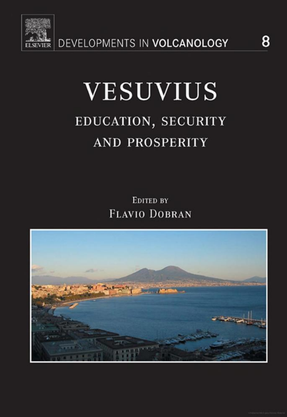

# **VESUVIUS** EDUCATION, SECURITY **AND PROSPERITY**

EDITED BY **FLAVIO DOBRAN** 



8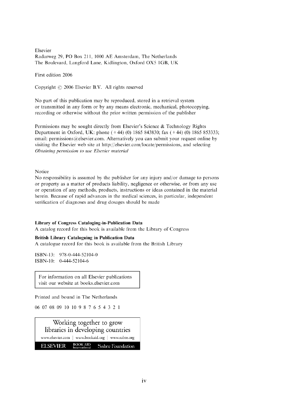Elsevier Radarweg 29, PO Box 211, 1000 AE Amsterdam, The Netherlands The Boulevard, Langford Lane, Kidlington, Oxford OX5 1GB, UK

First edition 2006

Copyright © 2006 Elsevier B.V. All rights reserved

No part of this publication may be reproduced, stored in a retrieval system or transmitted in any form or by any means electronic, mechanical, photocopying, recording or otherwise without the prior written permission of the publisher

Permissions may be sought directly from Elsevier's Science  $\&$  Technology Rights Department in Oxford, UK: phone ( + 44) (0) 1865 843830; fax ( + 44) (0) 1865 853333; email: permissions@elsevier.com. Alternatively you can submit your request online by visiting the Elsevier web site at http://elsevier.com/locate/permissions, and selecting *Obtaining permission to use Elsevier material* 

Notice

No responsibility is assumed by the publisher for any injury and/or damage to persons or property as a matter of products liability, negligence or otherwise, or from any use or operation of any methods, products, instructions or ideas contained in the ma terial herein. Because of rapid advances in the medical sciences, in particular, independent verification of diagnoses and drug dosages should be made

#### Library of Congress Cataloging-in- Publication Data

A catalog record for this book is available from the Library of Congress

#### British Library Cataloguing in Publication Data

A catalogue record for this book is available from the British Library

ISBN-13: 978-0-444-52104-0 ISBN-10: 0-444-52 104-6

For information on all Elsevier publications visit our website at books.elsevier.com

Printed and bound in The Netherlands

06 07 08 09 10 10 9 8 7 6 *5* 4 3 2 I

Working together to grow libraries in developing countries **www.d sevier.com I www.bookaid.org I www.sabre.org** 

**BOOK AID**<br>International **ELSEVIER** Sabre Foundation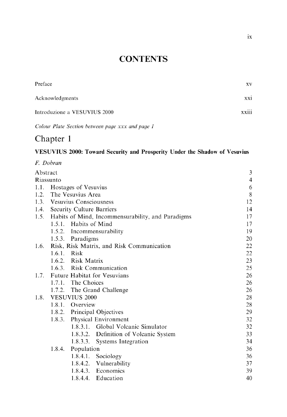## **CONTENTS**

| Preface                      | XV                       |
|------------------------------|--------------------------|
| Acknowledgments              | xxi                      |
| Introduzione a VESUVIUS 2000 | $\cdots$<br><b>XX111</b> |

*Colour Plate Section between page xxx and page 1* 

## **Chapter 1**

## **VESUVIUS 2000: Toward Security and Prosperity Under the Shadow of Vesuvius**

|           | F. Dobran   |                                                        |                |
|-----------|-------------|--------------------------------------------------------|----------------|
| Abstract  |             |                                                        | 3              |
| Riassunto |             |                                                        | $\overline{4}$ |
|           |             | 1.1. Hostages of Vesuvius                              | 6              |
|           |             | 1.2. The Vesuvius Area                                 | 8              |
|           |             | 1.3. Vesuvius Consciousness                            | 12             |
|           |             | 1.4. Security Culture Barriers                         | 14             |
|           |             | 1.5. Habits of Mind, Incommensurability, and Paradigms | 17             |
|           |             | 1.5.1. Habits of Mind                                  | 17             |
|           |             | 1.5.2. Incommensurability                              | 19             |
|           |             | 1.5.3. Paradigms                                       | 20             |
| 1.6.      |             | Risk, Risk Matrix, and Risk Communication              | 22             |
|           | 1.6.1. Risk |                                                        | 22             |
|           |             | 1.6.2. Risk Matrix                                     | 23             |
|           |             | 1.6.3. Risk Communication                              | 25             |
| 1.7.      |             | Future Habitat for Vesuvians                           | 26             |
|           |             | 1.7.1. The Choices                                     | 26             |
|           |             | 1.7.2. The Grand Challenge                             | 26             |
| 1.8.      |             | <b>VESUVIUS 2000</b>                                   | 28             |
|           |             | 1.8.1. Overview                                        | 28             |
|           |             | 1.8.2. Principal Objectives                            | 29             |
|           |             | 1.8.3. Physical Environment                            | 32             |
|           |             | 1.8.3.1. Global Volcanic Simulator                     | 32             |
|           |             | 1.8.3.2. Definition of Volcanic System                 | 33             |
|           |             | 1.8.3.3. Systems Integration                           | 34             |
|           | 1.8.4.      | Population                                             | 36             |
|           |             | Sociology<br>1.8.4.1.                                  | 36             |
|           |             | 1.8.4.2. Vulnerability                                 | 37             |
|           |             | 1.8.4.3. Economics                                     | 39             |
|           |             | 1.8.4.4. Education                                     | 40             |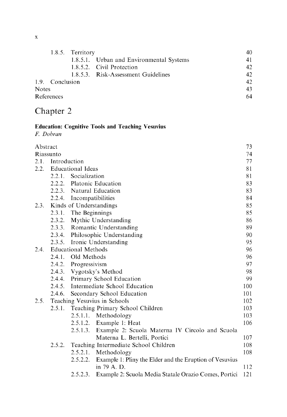|       |                 | 1.8.5. Territory |                                          | 40 |
|-------|-----------------|------------------|------------------------------------------|----|
|       |                 |                  | 1.8.5.1. Urban and Environmental Systems | 41 |
|       |                 |                  | 1.8.5.2. Civil Protection                | 42 |
|       |                 |                  | 1.8.5.3. Risk-Assessment Guidelines      | 42 |
|       | 1.9. Conclusion |                  |                                          | 42 |
| Notes |                 |                  |                                          | 43 |
|       | References      |                  |                                          | 64 |

## Chapter 2

#### Education: Cognitive Tools and Teaching Vesuvius *F Dobran*

Abstract 73 Riassunto 74 2.1. Introduction 27 2.2. Educational Ideas 81 2.2.1. Socialization 81 2.2.2. Platonic Education 83 2.2.3. Natural Education 83 2.2.4. Incompatibilities 84 2.3. Kinds of Understandings 85 2.3.1. The Beginnings 85 2.3.2. Mythic Understanding 86 2.3.3. Romantic Understanding 89 2.3.4. Philosophic Understanding 90 2.3.5. Ironic Understanding 95 2.4. Educational Methods 96 2.4.1. Old Methods 96 2.4.2. Progressivism 97 2.4.3. Vygotsky's Method 98 2.4.4. Primary School Education 99 2.4.5. Intermediate School Education 100 2.4.6. Secondary School Education 101 2.5. Teaching Vesuvius in Schools 102 2.5.1. Teaching Primary School Children 103 2.5.1.1. Methodology 103 2.5.1.2. Example 1: Heat 106 2.5. 1.3. Example 2: Scuola Materna IV Circolo and Scuola Materna L. Bertelli, Portici 107 2.5.2. Teaching Intermediate School Children 108 2.5.2.1. Methodology 108 2.5.2.2. Example 1: Pliny the Elder and the Eruption of Vesuvius in 79 A. D. 112 2.5.2.3. Example 2: Scuola Media Statale Orazio Comes, Portici 121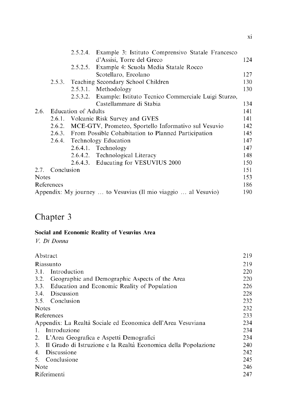|       |                 | 2.5.2.4.                   | Example 3: Istituto Comprensivo Statale Francesco              |     |
|-------|-----------------|----------------------------|----------------------------------------------------------------|-----|
|       |                 |                            | d'Assisi, Torre del Greco                                      | 124 |
|       |                 | 2.5.2.5.                   | Example 4: Scuola Media Statale Rocco                          |     |
|       |                 |                            | Scotellaro, Ercolano                                           | 127 |
|       |                 |                            | 2.5.3. Teaching Secondary School Children                      | 130 |
|       |                 |                            | 2.5.3.1. Methodology                                           | 130 |
|       |                 | 2.5.3.2.                   | Example: Istituto Tecnico Commerciale Luigi Sturzo,            |     |
|       |                 |                            | Castellammare di Stabia                                        | 134 |
| 2.6.  |                 | <b>Education of Adults</b> |                                                                | 141 |
|       |                 |                            | 2.6.1. Volcanic Risk Survey and GVES                           | 141 |
|       | 2.6.2.          |                            | MCE-GTV, Prometeo, Sportello Informativo sul Vesuvio           | 142 |
|       |                 |                            | 2.6.3. From Possible Cohabitation to Planned Participation     | 145 |
|       |                 |                            | 2.6.4. Technology Education                                    | 147 |
|       |                 | 2.6.4.1.                   | Technology                                                     | 147 |
|       |                 |                            | 2.6.4.2. Technological Literacy                                | 148 |
|       |                 |                            | 2.6.4.3. Educating for VESUVIUS 2000                           | 150 |
|       | 2.7. Conclusion |                            |                                                                | 151 |
| Notes |                 |                            |                                                                | 153 |
|       | References      |                            |                                                                | 186 |
|       |                 |                            | Appendix: My journey  to Vesuvius (Il mio viaggio  al Vesuvio) | 190 |

# **Chapter 3**

#### **Social and Economic Reality of Vesuvius Area**

*V. Di Donna* 

| Abstract                                                             | 219 |  |
|----------------------------------------------------------------------|-----|--|
| Riassunto                                                            | 219 |  |
| Introduction<br>3.1.                                                 | 220 |  |
| Geographic and Demographic Aspects of the Area<br>3.2.               | 220 |  |
| Education and Economic Reality of Population<br>3.3.                 | 226 |  |
| Discussion<br>3.4.                                                   | 228 |  |
| 3.5. Conclusion                                                      | 232 |  |
| <b>Notes</b>                                                         | 232 |  |
| References                                                           | 233 |  |
| Appendix: La Realtà Sociale ed Economica dell'Area Vesuviana         | 234 |  |
| Introduzione<br>1.                                                   | 234 |  |
| 2. L'Area Geografica e Aspetti Demografici                           | 234 |  |
| Il Grado di Istruzione e la Realtà Economica della Popolazione<br>3. | 240 |  |
| Discussione<br>4.                                                    | 242 |  |
| Conclusione<br>5.                                                    | 245 |  |
| Note                                                                 | 246 |  |
| Riferimenti                                                          |     |  |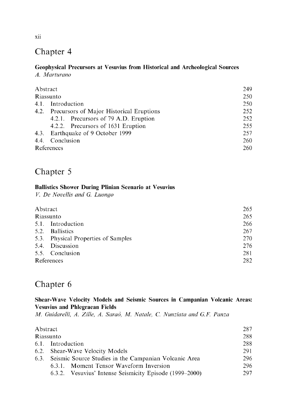## **Chapter 4**

#### **Geophysical Precursors at Vesuvius from Historical and Archeological Sources**  *A. Marturano*

| Abstract |                                               | 249 |
|----------|-----------------------------------------------|-----|
|          | Riassunto                                     | 250 |
|          | 4.1. Introduction                             | 250 |
|          | 4.2. Precursors of Major Historical Eruptions | 252 |
|          | 4.2.1. Precursors of 79 A.D. Eruption         | 252 |
|          | 4.2.2. Precursors of 1631 Eruption            | 255 |
|          | 4.3. Earthquake of 9 October 1999             | 257 |
|          | 4.4. Conclusion                               | 260 |
|          | References                                    | 260 |

## **Chapter 5**

#### **Ballistics Shower During Plinian Scenario at Vesuvius**

*V. De Novel/is and* G. *Luongo* 

| Abstract                            | 265 |
|-------------------------------------|-----|
| Riassunto                           | 265 |
| 5.1. Introduction                   | 266 |
| 5.2.<br><b>Ballistics</b>           | 267 |
| 5.3. Physical Properties of Samples | 270 |
| 5.4. Discussion                     | 276 |
| 5.5. Conclusion                     | 281 |
| References                          | 282 |

## **Chapter 6**

#### **Shear-Wave Velocity Models and Seismic Sources in Campanian Volcanic Areas: Vesuvius and Phlegraean Fields**

*M. Guidarelli, A. Zille, A. Sarao, M. Natale,* C. *Nunziata and G.F. Panza* 

| Abstract  |                                                            | 287 |  |
|-----------|------------------------------------------------------------|-----|--|
| Riassunto |                                                            | 288 |  |
|           | 6.1. Introduction                                          | 288 |  |
|           | 6.2. Shear-Wave Velocity Models                            |     |  |
|           | 6.3. Seismic Source Studies in the Campanian Volcanic Area | 296 |  |
|           | 6.3.1. Moment Tensor Waveform Inversion                    | 296 |  |
|           | 6.3.2. Vesuvius' Intense Seismicity Episode (1999–2000)    | 297 |  |

XII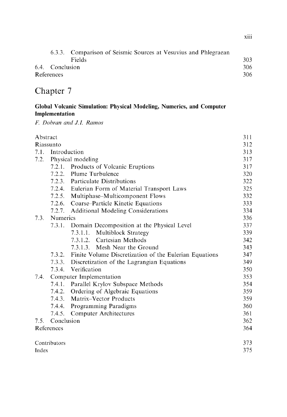|                 | 6.3.3. Comparison of Seismic Sources at Vesuvius and Phlegraean |     |
|-----------------|-----------------------------------------------------------------|-----|
|                 | Fields                                                          | 303 |
| 6.4. Conclusion |                                                                 | 306 |
| References      |                                                                 | 306 |
|                 |                                                                 |     |

XIII

## **Chapter 7**

### **Global Volcanic Simulation: Physical Modeling, Numerics, and Computer Implementation**

*F Dobran and* J.l. *Ramos* 

| Abstract |                 |                                                        | 311 |
|----------|-----------------|--------------------------------------------------------|-----|
|          | Riassunto       |                                                        | 312 |
| 7.1.     | Introduction    |                                                        |     |
| 7.2.     |                 | Physical modeling                                      | 317 |
|          |                 | 7.2.1. Products of Volcanic Eruptions                  | 317 |
|          | 7.2.2.          | Plume Turbulence                                       | 320 |
|          | 7.2.3.          | Particulate Distributions                              | 322 |
|          | 7.2.4.          | Eulerian Form of Material Transport Laws               | 325 |
|          | 7.2.5.          | Multiphase–Multicomponent Flows                        | 332 |
|          |                 | 7.2.6. Coarse–Particle Kinetic Equations               | 333 |
|          | 7.2.7.          | Additional Modeling Considerations                     | 334 |
| 7.3.     | <b>Numerics</b> |                                                        | 336 |
|          | 7.3.1.          | Domain Decomposition at the Physical Level             | 337 |
|          |                 | 7.3.1.1.<br>Multiblock Strategy                        | 339 |
|          |                 | 7.3.1.2. Cartesian Methods                             | 342 |
|          |                 | 7.3.1.3. Mesh Near the Ground                          | 343 |
|          | 7.3.2.          | Finite Volume Discretization of the Eulerian Equations | 347 |
|          | 7.3.3.          | Discretization of the Lagrangian Equations             | 349 |
|          | 7.3.4.          | Verification                                           | 350 |
| 7.4.     |                 | Computer Implementation                                | 353 |
|          | 7.4.1.          | Parallel Krylov Subspace Methods                       | 354 |
|          | 7.4.2.          | Ordering of Algebraic Equations                        | 359 |
|          | 7.4.3.          | Matrix-Vector Products                                 | 359 |
|          | 7.4.4.          | Programming Paradigms                                  | 360 |
|          | 7.4.5.          | <b>Computer Architectures</b>                          | 361 |
| 7.5.     | Conclusion      |                                                        | 362 |
|          | References      |                                                        | 364 |
|          | Contributors    |                                                        | 373 |
| Index    |                 |                                                        | 375 |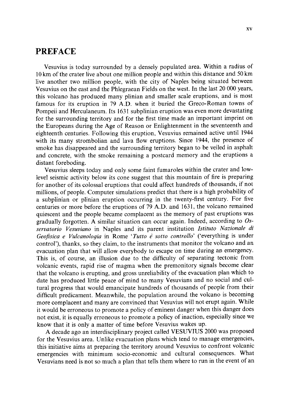## **PREFACE**

Vesuvius is today surrounded by a densely populated area. Within a radius of 10 km of the crater live about one million people and within this distance and 50 km live another two million people, with the city of Naples being situated between Vesuvius on the east and the Phlegraean Fields on the west. In the last 20 000 years, this volcano has produced many plinian and smaller scale eruptions, and is most famous for its eruption in 79 A.D. when it buried the Greco-Roman towns of Pompeii and Herculaneum. Its 1631 subplinian eruption was even more devastating for the surrounding territory and for the first time made an important imprint on the Europeans during the Age of Reason or Enlightenment in the seventeenth and eighteenth centuries. Following this eruption, Vesuvius remained active until 1944 with its many strombolian and lava flow eruptions. Since 1944, the presence of smoke has disappeared and the surrounding territory began to be veiled in asphalt and concrete, with the smoke remaining a postcard memory and the eruptions a distant foreboding.

Vesuvius sleeps today and only some faint fumaroles within the crater and lowlevel seismic activity below its cone suggest that this mountain of fire is preparing for another of its colossal eruptions that could affect hundreds of thousands, if not millions, of people. Computer simulations predict that there is a high probability of a subplinian or plinian eruption occurring in the twenty-first century. For five centuries or more before the eruptions of "79 A.D. and 1631, the volcano remained quiescent and the people became complacent as the memory of past eruptions was gradually forgotten. A similar situation can occur again. Indeed, according to *Osservatorio Vesuviano* in Naples and its parent institution *Istituto Nazionale di Geofisica e Vulcanologia* in Rome 'Tutto è sotto controllo' ('everything is under control'), thanks, so they claim, to the instruments that monitor the volcano and an evacuation plan that will allow everybody to escape on time during an emergency. This is, of course, an illusion due to the difficulty of separating tectonic from volcanic events, rapid rise of magma when the premonitory signals become clear that the volcano is erupting, and gross unreliability of the evacuation plan which to date has produced little peace of mind to many Vesuvians and no social and cultural progress that would emancipate hundreds of thousands of people from their difficult predicament. Meanwhile, the population around the volcano is becoming more complacent and many are convinced that Vesuvius will not erupt again. While it would be erroneous to promote a policy of eminent danger when this danger does not exist, it is equally erroneous to promote a policy of inaction, especially since we know that it is only a matter of time before Vesuvius wakes up.

A decade ago an interdisciplinary project called VESUVIUS 2000 was proposed for the Vesuvius area. Unlike evacuation plans which tend to manage emergencies, this initiative aims at preparing the territory around Vesuvius to confront volcanic emergencies with minimum socio-economic and cultural consequences. What Vesuvians need is not so much a plan that tells them where to run in the event of an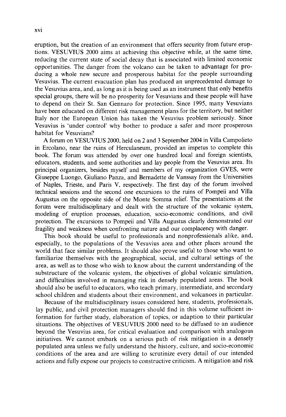eruption, but the creation of an environment that offers security from future eruptions. VESUVIUS 2000 aims at achieving this objective while, at the same time, reducing the current state of social decay that is associated with limited economic opportunities. The danger from the volcano can be taken to advantage for producing a whole new secure and prosperous habitat for the people surrounding Vesuvius. The current evacuation plan has produced an unprecedented damage to the Vesuvius area, and, as long as it is being used as an instrument that only benefits special groups, there will be no prosperity for Vesuvians and these people will have to depend on their St. San Gennaro for protection. Since 1995, many Vesuvians have been educated on different risk management plans for the territory, but neither Italy nor the European Union has taken the Vesuvius problem seriously. Since Vesuvius is 'under control' why bother to produce a safer and more prosperous habitat for Vesuvians?

A forum on VESUVIUS 2000, held on 2 and 3 September 2004 in Villa Campolieto in Ercolano, near the ruins of Herculaneum, provided an impetus to complete this book. The forum was attended by over one hundred local and foreign scientists, educators, students, and some authorities and lay people from the Vesuvius area. Its principal organizers, besides myself and members of my organization GVES, were Giuseppe Luongo, Giuliano Panza, and Bernadette de Vanssay from the Universities of Naples, Trieste, and Paris V, respectively. The first day of the forum involved technical sessions and the second one excursions to the ruins of Pompeii and Villa Augustus on the opposite side of the Monte Somma relief. The presentations at the forum were multidisciplinary and dealt with the structure of the volcanic system, modeling of eruption processes, education, socio-economic conditions, and civil protection. The excursions to Pompeii and Villa Augustus clearly demonstrated our fragility and weakness when confronting nature and our complacency with danger.

This book should be useful to professionals and nonprofessionals alike, and, especially, to the populations of the Vesuvius area and other places around the world that face similar problems. It should also prove useful to those who want to familiarize themselves with the geographical, social, and cultural settings of the area, as well as to those who wish to know about the current understanding of the substructure of the volcanic system, the objectives of global volcanic simulation, and difficulties involved in managing risk in densely populated areas. The book should also be useful to educators, who teach primary, intermediate, and secondary school children and students about their environment, and volcanoes in particular.

Because of the multidisciplinary issues considered here, students, professionals, lay public, and civil protection managers should find in this volume sufficient information for further study, elaboration of topics, or adaption to their particular situations. The objectives of VESUVIUS 2000 need to be diffused to an audience beyond the Vesuvius area, for critical evaluation and comparison with analogous initiatives. We cannot embark on a serious path of risk mitigation in a densely populated area unless we fully understand the history, culture, and socio-economic conditions of the area and are willing to scrutinize every detail of our intended actions and fully expose our projects to constructive criticism. A mitigation and risk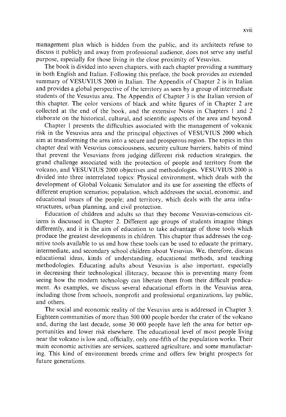management plan which is hidden from the public, and its architects refuse to discuss it publicly and away from professional audience, does not serve any useful purpose, especially for those living in the close proximity of Vesuvius.

The book is divided into seven chapters, with each chapter providing a summary in both English and Italian. Following this preface, the book provides an extended summary of VESUVIUS 2000 in Italian. The Appendix of Chapter 2 is in Italian and provides a global perspective of the territory as seen by a group of intermediate students of the Vesuvius area. The Appendix of Chapter 3 is the Italian version of this chapter. The color versions of black and white figures of in Chapter 2 are collected at the end of the book, and the extensive Notes in Chapters 1 and 2 elaborate on the historical, cultural, and scientific aspects of the area and beyond.

Chapter 1 presents the difficulties associated with the management of volcanic risk in the Vesuvius area and the principal objectives of VESUVIUS 2000 which aim at transforming the area into a secure and prosperous region. The topics in this chapter deal with Vesuvius consciousness, security culture barriers, habits of mind that prevent the Vesuvians from judging different risk reduction strategies, the grand challenge associated with the protection of people and territory from the volcano, and VESUVIUS 2000 objectives and methodologies. VESUVIUS 2000 is divided into three interrelated topics: Physical environment, which deals with the development of Global Volcanic Simulator and its use for assessing the effects of different eruption scenarios; population, which addresses the social, economic, and educational issues of the people; and territory, which deals with the area infrastructures, urban planning, and civil protection.

Education of children and adults so that they become Vesuvius-conscious citizens is discussed in Chapter 2. Different age groups of students imagine things differently, and it is the aim of education to take advantage of those tools which produce the greatest developments in children. This chapter thus addresses the cognitive tools available to us and how these tools can be used to educate the primary, intermediate, and secondary school children about Vesuvius. We, therefore, discuss educational ideas, kinds of understanding, educational methods, and teaching methodologies. Educating adults about Vesuvius is also important, especially in decreasing their technological illiteracy, because this is preventing many from seeing how the modern technology can liberate them from their difficult predicament. As examples, we discuss several educational efforts in the Vesuvius area, including those from schools, nonprofit and professional organizations, lay public, and others.

The social and economic reality of the Vesuvius area is addressed in Chapter 3. Eighteen communities of more than 500 000 people border the crater of the volcano and, during the last decade, some 30 000 people have left the area for better opportunities and lower risk elsewhere. The educational level of most people living near the volcano is low and, officially, only one-fifth of the population works. Their main economic activities are services, scattered agriculture, and some manufacturing. This kind of environment breeds crime and offers few bright prospects for future generations.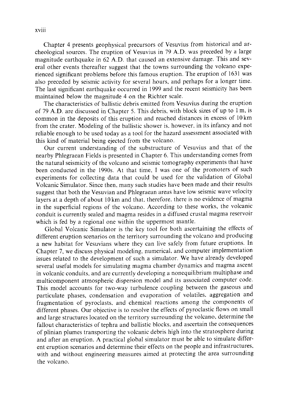Chapter 4 presents geophysical precursors of Vesuvius from historical and archeological sources. The eruption of Vesuvius in 79 A.D. was preceded by a large magnitude earthquake in 62 A.D. that caused an extensive damage. This and several other events thereafter suggest that the towns surrounding the volcano experienced significant problems before this famous eruption. The eruption of 1631 was also preceded by seismic activity for several hours, and perhaps for a longer time. The last significant earthquake occurred in 1999 and the recent seismicity has been maintained below the magnitude 4 on the Richter scale.

The characteristics of ballistic debris emitted from Vesuvius during the eruption of 79 A.D. are discussed in Chapter 5. This debris, with block sizes of up to 1 m, is common in the deposits of this eruption and reached distances in excess of 10 km from the crater. Modeling of the ballistic shower is, however, in its infancy and not reliable enough to be used today as a tool for the hazard assessment associated with this kind of material being ejected from the volcano.

Our current understanding of the substructure of Vesuvius and that of the nearby Phlegraean Fields is presented in Chapter 6. This understanding comes from the natural seismicity of the volcano and seismic tomography experiments that have been conducted in the 1990s. At that time, I was one of the promoters of such experiments for collecting data that could be used for the validation of Global Volcanic Simulator. Since then, many such studies have been made and their results suggest that both the Vesuvian and Phlegraean areas have low seismic wave velocity layers at a depth of about 10 km and that, therefore, there is no evidence of magma in the superficial regions of the volcano. According to these works, the volcanic conduit is currently sealed and magma resides in a diffused crustal magma reservoir which is fed by a regional one within the uppermost mantle.

Global Volcanic Simulator is the key tool for both ascertaining the effects of different eruption scenarios on the territory surrounding the volcano and producing a new habitat for Vesuvians where they can live safely from future eruptions. In Chapter 7, we discuss physical modeling, numerical, and computer implementation issues related to the development of such a simulator. We have already developed several useful models for simulating magma chamber dynamics and magma ascent in volcanic conduits, and are currently developing a nonequilibrium multiphase and multicomponent atmospheric dispersion model and its associated computer code. This model accounts for two-way turbulence coupling between the gaseous and particulate phases, condensation and evaporation of volatiles, aggregation and fragmentation of pyroclasts, and chemical reactions among the components of different phases. Our objective is to resolve the effects of pyroclastic flows on small and large structures located on the territory surrounding the volcano, determine the fallout characteristics of tephra and ballistic blocks, and ascertain the consequences of plinian plumes transporting the volcanic debris high into the stratosphere during and after an eruption. A practical global simulator must be able to simulate different eruption scenarios and determine their effects on the people and infrastructures, with and without engineering measures aimed at protecting the area surrounding the volcano.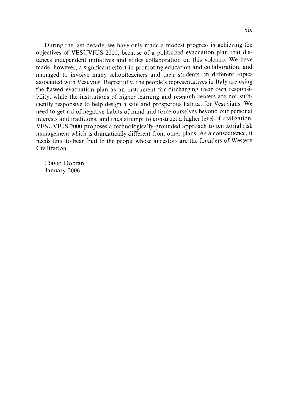During the last decade, we have only made a modest progress in achieving the objectives of VESUVIUS 2000, because of a politicized evacuation plan that distances independent initiatives and stifles collaboration on this volcano. We have made, however, a significant effort in promoting education and collaboration, and managed to involve many schoolteachers and their students on different topics associated with Vesuvius. Regretfully, the people's representatives in Italy are using the flawed evacuation plan as an instrument for discharging their own responsibility, while the institutions of higher learning and research centers are not sufficiently responsive to help design a safe and prosperous habitat for Vesuvians. We need to get rid of negative habits of mind and force ourselves beyond our personal interests and traditions, and thus attempt to construct a higher level of civilization. VESUVIUS 2000 proposes a technologically-grounded approach to territorial risk management which is dramatically different from other plans. As a consequence, it needs time to bear fruit to the people whose ancestors are the founders of Western Civilization.

Flavio Dobran January 2006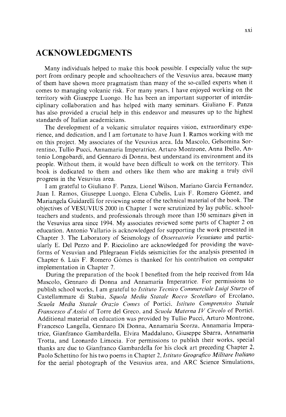## **ACKNOWLEDGMENTS**

Many individuals helped to make this book possible. I especially value the support from ordinary people and schoolteachers of the Vesuvius area, because many of them have shown more pragmatism than many of the so-called experts when it comes to managing volcanic risk. For many years, I have enjoyed working on the territory with Giuseppe Luongo. He has been an important supporter of interdisciplinary collaboration and has helped with many seminars. Giuliano F. Panza has also provided a crucial help in this endeavor and measures up to the highest standards of Italian academicians.

The development of a volcanic simulator requires vision, extraordinary experience, and dedication, and I am fortunate to have Juan I. Ramos working with me on this project. My associates of the Vesuvius area, Ida Mascolo, Gelsomina Sorrentino, Tullio Pucci, Annamaria Imperatrice, Arturo Montrone, Anna Ibello, Antonio Longobardi, and Gennaro di Donna, best understand its environment and its people. Without them, it would have been difficult to work on the territory. This book is dedicated to them and others like them who are making a truly civil progress in the Vesuvius area.

I am grateful to Giuliano F. Panza, Lionel Wilson, Mariano Garcia Fernandez, Juan I. Ramos, Giuseppe Luongo, Elena Cubelis, Luis F. Romero Gómez, and Mariangela Guidarelli for reviewing some of the technical material of the book. The objectives of VESUVIUS 2000 in Chapter 1 were scrutinized by lay public, schoolteachers and students, and professionals through more than 150 seminars given in the Vesuvius area since 1994. My associates reviewed some parts of Chapter 2 on education. Antonio Vallario is acknowledged for supporting the work presented in Chapter 3. The Laboratory of Seismology of *Osservatorio Vesuviano* and particularly E. Del Pezzo and P. Ricciolino are acknowledged for providing the waveforms of Vesuvian and Phlegraean Fields seismicities for the analysis presented in Chapter 6. Luis F. Romero Gómes is thanked for his contribution on computer implementation in Chapter 7.

During the preparation of the book I benefited from the help received from Ida Mascolo, Gennaro di Donna and Annamaria Imperatrice. For permissions to publish school works, I am grateful to *Istituto Tecnico Commerciale Luigi Sturzo* of Castellammare di Stabia, *Squola Media Statale Rocco Scotellaro* of Ercolano, *Scuola Media Statale Orazio Comes* of Portici, *Istituto Comprensivo Statale Franscesco d'Assisi* of Torre del Greco, and *Scuola Materna IV Circolo* of Portici. Additional material on education was provided by Tullio Pucci, Arturo Montrone, Francesco Langella, Gennaro Di Donna, Annamaria Scorza, Annamaria Imperatrice, Gianfranco Gambardella, Elvira Maddaluno, Giuseppe Sbarra, Annamaria Trotta, and Leonardo Limocia. For permissions to publish their works, special thanks are due to Gianfranco Gambardella for his clock art preceding Chapter 2, Paolo Schettino for his two poems in Chapter 2, *Istituto Geografico Militare Italiano*  for the aerial photograph of the Vesuvius area, and ARC Science Simulations,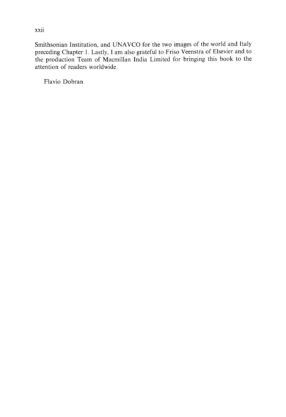Smithsonian Institution, and UNAVCO for the two images of the world and Italy preceding Chapter 1. Lastly, I am also grateful to Friso Veenstra of Elsevier and to the production Team of Macmillan India Limited for bringing this book to the attention of readers worldwide.

Flavio Dobran

xxii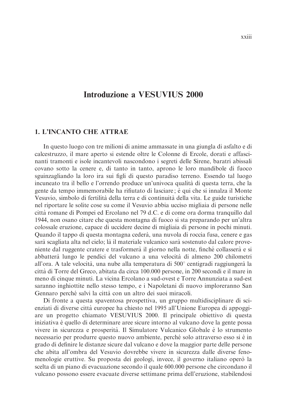## Introduzione a VESUVIUS 2000

#### 1. L'INCANTO CHE ATTRAE

In questo luogo con tre milioni di anime ammassate in una giungla di asfalto e di calcestruzzo, il mare aperto si estende oltre le Colonne di Ercole, dorati e affascinanti tramonti e isole incantevoli nascondono i segreti delle Sirene, baratri abissali covano sotto la cenere e, di tanto in tanto, aprono le loro mandibole di fuoco sguinzagliando la loro ira sui figli di questo paradiso terreno. Essendo tal luogo incuneato tra il bello e l'orrendo produce un'univoca qualita` di questa terra, che la gente da tempo immemorabile ha rifiutato di lasciare; è qui che si innalza il Monte Vesuvio, simbolo di fertilita` della terra e di continuita` della vita. Le guide turistiche nel riportare le solite cose su come il Vesuvio abbia ucciso migliaia di persone nelle citta` romane di Pompei ed Ercolano nel 79 d.C. e di come ora dorma tranquillo dal 1944, non osano citare che questa montagna di fuoco si sta preparando per un'altra colossale eruzione, capace di uccidere decine di migliaia di persone in pochi minuti. Quando il tappo di questa montagna cedera`, una nuvola di roccia fusa, cenere e gas sara` scagliata alta nel cielo; la` il materiale vulcanico sara` sostenuto dal calore proveniente dal ruggente cratere e trasformera` il giorno nella notte, finche´ collassera` e si abbattera` lungo le pendici del vulcano a una velocita` di almeno 200 chilometri all'ora. A tale velocità, una nube alla temperatura di 500<sup>°</sup> centigradi raggiungerà la citta` di Torre del Greco, abitata da circa 100.000 persone, in 200 secondi e il mare in meno di cinque minuti. La vicina Ercolano a sud-ovest e Torre Annunziata a sud-est saranno inghiottite nello stesso tempo, e i Napoletani di nuovo imploreranno San Gennaro perché salvi la città con un altro dei suoi miracoli.

Di fronte a questa spaventosa prospettiva, un gruppo multidisciplinare di scienziati di diverse città europee ha chiesto nel 1995 all'Unione Europea di appoggiare un progetto chiamato VESUVIUS 2000. Il principale obiettivo di questa iniziativa è quello di determinare aree sicure intorno al vulcano dove la gente possa vivere in sicurezza e prosperità. Il Simulatore Vulcanico Globale è lo strumento necessario per produrre questo nuovo ambiente, perché solo attraverso esso si è in grado di definire le distanze sicure dal vulcano e dove la maggior parte delle persone che abita all'ombra del Vesuvio dovrebbe vivere in sicurezza dalle diverse fenomenologie eruttive. Su proposta dei geologi, invece, il governo italiano opero` la scelta di un piano di evacuazione secondo il quale 600.000 persone che circondano il vulcano possono essere evacuate diverse settimane prima dell'eruzione, stabilendosi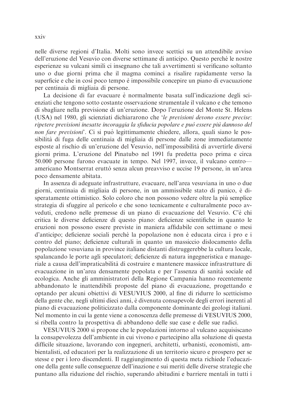nelle diverse regioni d'Italia. Molti sono invece scettici su un attendibile avviso dell'eruzione del Vesuvio con diverse settimane di anticipo. Questo perché le nostre esperienze su vulcani simili ci insegnano che tali avvertimenti si verificano soltanto uno o due giorni prima che il magma cominci a risalire rapidamente verso la superficie e che in così poco tempo è impossibile concepire un piano di evacuazione per centinaia di migliaia di persone.

La decisione di far evacuare è normalmente basata sull'indicazione degli scienziati che tengono sotto costante osservazione strumentale il vulcano e che temono di sbagliare nella previsione di un'eruzione. Dopo l'eruzione del Monte St. Helens (USA) nel 1980, gli scienziati dichiararono che 'le previsioni devono essere precise: ripetere previsioni inesatte incoraggia la sfiducia popolare e puo` essere piu` dannoso del non fare previsioni'. Ci si può legittimamente chiedere, allora, quali siano le possibilità di fuga delle centinaia di migliaia di persone dalle zone immediatamente esposte al rischio di un'eruzione del Vesuvio, nell'impossibilita` di avvertirle diversi giorni prima. L'eruzione del Pinatubo nel 1991 fu predetta poco prima e circa 50.000 persone furono evacuate in tempo. Nel 1997, invece, il vulcano centro americano Montserrat erutto` senza alcun preavviso e uccise 19 persone, in un'area poco densamente abitata.

In assenza di adeguate infrastrutture, evacuare, nell'area vesuviana in uno o due giorni, centinaia di migliaia di persone, in un ammissibile stato di panico, e` disperatamente ottimistico. Solo coloro che non possono vedere oltre la piu` semplice strategia di sfuggire al pericolo e che sono tecnicamente e culturalmente poco avveduti, credono nelle premesse di un piano di evacuazione del Vesuvio. C'e` chi critica le diverse deficienze di questo piano: deficienze scientifiche in quanto le eruzioni non possono essere previste in maniera affidabile con settimane o mesi d'anticipo; deficienze sociali perche´ la popolazione non e` educata circa i pro e i contro del piano; deficienze culturali in quanto un massiccio dislocamento della popolazione vesuviana in province italiane distanti distruggerebbe la cultura locale, spalancando le porte agli speculatori; deficienze di natura ingegneristica e manageriale a causa dell'impraticabilita` di costruire e mantenere massicce infrastrutture di evacuazione in un'area densamente popolata e per l'assenza di sanita` sociale ed ecologica. Anche gli amministratori della Regione Campania hanno recentemente abbandonato le inattendibili proposte del piano di evacuazione, progettando e optando per alcuni obiettivi di VESUVIUS 2000, al fine di ridurre lo scetticismo della gente che, negli ultimi dieci anni, e` divenuta consapevole degli errori inerenti al piano di evacuazione politicizzato dalla componente dominante dei geologi italiani. Nel momento in cui la gente viene a conoscenza delle premesse di VESUVIUS 2000, si ribella contro la prospettiva di abbandono delle sue case e delle sue radici.

VESUVIUS 2000 si propone che le popolazioni intorno al vulcano acquisiscano la consapevolezza dell'ambiente in cui vivono e partecipino alla soluzione di questa difficile situazione, lavorando con ingegneri, architetti, urbanisti, economisti, ambientalisti, ed educatori per la realizzazione di un territorio sicuro e prospero per se stesse e per i loro discendenti. Il raggiungimento di questa meta richiede l'educazione della gente sulle conseguenze dell'inazione e sui meriti delle diverse strategie che puntano alla riduzione del rischio, superando abitudini e barriere mentali in tutti i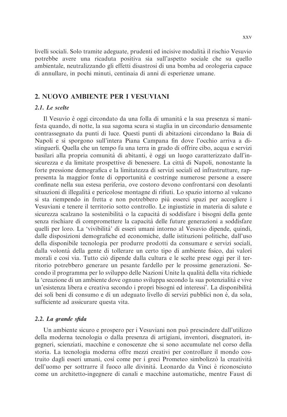livelli sociali. Solo tramite adeguate, prudenti ed incisive modalita` il rischio Vesuvio potrebbe avere una ricaduta positiva sia sull'aspetto sociale che su quello ambientale, neutralizzando gli effetti disastrosi di una bomba ad orologeria capace di annullare, in pochi minuti, centinaia di anni di esperienze umane.

#### 2. NUOVO AMBIENTE PER I VESUVIANI

#### 2.1. Le scelte

Il Vesuvio e` oggi circondato da una folla di umanita` e la sua presenza si manifesta quando, di notte, la sua sagoma scura si staglia in un circondario densamente contrassegnato da punti di luce. Questi punti di abitazioni circondano la Baia di Napoli e si sporgono sull'intera Piana Campana fin dove l'occhio arriva a distinguerli. Quella che un tempo fu una terra in grado di offrire cibo, acqua e servizi basilari alla propria comunità di abitanti, è oggi un luogo caratterizzato dall'insicurezza e da limitate prospettive di benessere. La citta` di Napoli, nonostante la forte pressione demografica e la limitatezza di servizi sociali ed infrastrutture, rappresenta la maggior fonte di opportunita` e costringe numerose persone a essere confinate nella sua estesa periferia, ove costoro devono confrontarsi con desolanti situazioni di illegalita` e pericolose montagne di rifiuti. Lo spazio intorno al vulcano si sta riempendo in fretta e non potrebbero piu` esserci spazi per accogliere i Vesuviani e tenere il territorio sotto controllo. Le ingiustizie in materia di salute e sicurezza scalzano la sostenibilità o la capacità di soddisfare i bisogni della gente senza rischiare di compromettere la capacita` delle future generazioni a soddisfare quelli per loro. La 'vivibilita`' di esseri umani intorno al Vesuvio dipende, quindi, dalle disposizioni demografiche ed economiche, dalle istituzioni politiche, dall'uso della disponibile tecnologia per produrre prodotti da consumare e servizi sociali, dalla volonta` della gente di tollerare un certo tipo di ambiente fisico, dai valori morali e cosı` via. Tutto cio` dipende dalla cultura e le scelte prese oggi per il territorio potrebbero generare un pesante fardello per le prossime generazioni. Secondo il programma per lo sviluppo delle Nazioni Unite la qualita` della vita richiede la 'creazione di un ambiente dove ognuno sviluppa secondo la sua potenzialita` e vive un'esistenza libera e creativa secondo i propri bisogni ed interessi'. La disponibilita` dei soli beni di consumo e di un adeguato livello di servizi pubblici non è, da sola, sufficiente ad assicurare questa vita.

#### 2.2. La grande sfida

Un ambiente sicuro e prospero per i Vesuviani non puo` prescindere dall'utilizzo della moderna tecnologia o dalla presenza di artigiani, inventori, disegnatori, ingegneri, scienziati, macchine e conoscenze che si sono accumulate nel corso della storia. La tecnologia moderna offre mezzi creativi per controllare il mondo costruito dagli esseri umani, cosı` come per i greci Prometeo simbolizzo` la creativita` dell'uomo per sottrarre il fuoco alle divinita`. Leonardo da Vinci e` riconosciuto come un architetto-ingegnere di canali e macchine automatiche, mentre Faust di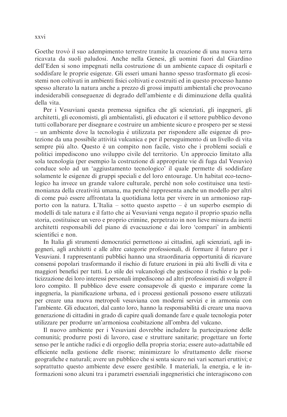Goethe trovò il suo adempimento terrestre tramite la creazione di una nuova terra ricavata da suoli paludosi. Anche nella Genesi, gli uomini fuori dal Giardino dell'Eden si sono impegnati nella costruzione di un ambiente capace di ospitarli e soddisfare le proprie esigenze. Gli esseri umani hanno spesso trasformato gli ecosistemi non coltivati in ambienti fisici coltivati e costruiti ed in questo processo hanno spesso alterato la natura anche a prezzo di grossi impatti ambientali che provocano indesiderabili conseguenze di degrado dell'ambiente e di diminuzione della qualita` della vita.

Per i Vesuviani questa premessa significa che gli scienziati, gli ingegneri, gli architetti, gli economisti, gli ambientalisti, gli educatori e il settore pubblico devono tutti collaborare per disegnare e costruire un ambiente sicuro e prospero per se stessi – un ambiente dove la tecnologia e` utilizzata per rispondere alle esigenze di protezione da una possibile attivita` vulcanica e per il perseguimento di un livello di vita sempre più alto. Questo è un compito non facile, visto che i problemi sociali e politici impediscono uno sviluppo civile del territorio. Un approccio limitato alla sola tecnologia (per esempio la costruzione di appropriate vie di fuga dal Vesuvio) conduce solo ad un 'aggiustamento tecnologico' il quale permette di soddisfare solamente le esigenze di gruppi speciali e del loro entourage. Un habitat eco-tecnologico ha invece un grande valore culturale, perche` non solo costituisce una testimonianza della creativita` umana, ma perche´ rappresenta anche un modello per altri di come puo` essere affrontata la quotidiana lotta per vivere in un armonioso rapporto con la natura. L'Italia – sotto questo aspetto – è un superbo esempio di modelli di tale natura e il fatto che ai Vesuviani venga negato il proprio spazio nella storia, costituisce un vero e proprio crimine, perpetrato in non lieve misura da inetti architetti responsabili del piano di evacuazione e dai loro 'compari' in ambienti scientifici e non.

In Italia gli strumenti democratici permettono ai cittadini, agli scienziati, agli ingegneri, agli architetti e alle altre categorie professionali, di formare il futuro per i Vesuviani. I rappresentanti pubblici hanno una straordinaria opportunita` di ricavare consensi popolari trasformando il rischio di future eruzioni in piu` alti livelli di vita e maggiori benefici per tutti. Lo stile dei vulcanologi che gestiscono il rischio e la politicizzazione dei loro interessi personali impediscono ad altri professionisti di svolgere il loro compito. Il pubblico deve essere consapevole di questo e imparare come la ingegneria, la pianificazione urbana, ed i processi gestionali possono essere utilizzati per creare una nuova metropoli vesuviana con moderni servizi e in armonia con l'ambiente. Gli educatori, dal canto loro, hanno la responsabilita` di creare una nuova generazione di cittadini in grado di capire quali domande fare e quale tecnologia poter utilizzare per produrre un'armoniosa coabitazione all'ombra del vulcano.

Il nuovo ambiente per i Vesuviani dovrebbe includere la partecipazione delle comunita`; produrre posti di lavoro, case e strutture sanitarie; progettare un forte senso per le antiche radici e di orgoglio della propria storia; essere auto-adattabile ed efficiente nella gestione delle risorse; minimizzare lo sfruttamento delle risorse geografiche e naturali; avere un pubblico che si senta sicuro nei vari scenari eruttivi; e soprattutto questo ambiente deve essere gestibile. I materiali, la energia, e le informazioni sono alcuni tra i parametri essenziali ingegneristici che interagiscono con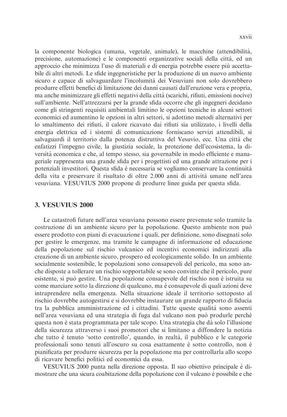la componente biologica (umana, vegetale, animale), le macchine (attendibilità, precisione, automazione) e le componenti organizzative sociali della citta`, ed un approccio che minimizza l'uso di materiali e di energia potrebbe essere piu` accettabile di altri metodi. Le sfide ingegneristiche per la produzione di un nuovo ambiente sicuro e capace di salvaguardare l'incolumita` dei Vesuviani non solo dovrebbero produrre effetti benefici di limitazione dei danni causati dall'eruzione vera e propria, ma anche minimizzare gli effetti negativi della citta` (scarichi, rifiuti, emissioni nocive) sull'ambiente. Nell'attrezzarsi per la grande sfida occorre che gli ingegneri decidano come gli stringenti requisiti ambientali limitino le opzioni tecniche in alcuni settori economici ed aumentino le opzioni in altri settori, si adottino metodi alternativi per lo smaltimento dei rifiuti, il calore ricavato dai rifiuti sia utilizzato, i livelli della energia elettrica ed i sistemi di comunicazione forniscano servizi attendibili, si salvaguardi il territorio dalla potenza distruttiva del Vesuvio, ecc. Una citta` che enfatizzi l'impegno civile, la giustizia sociale, la protezione dell'ecosistema, la diversita` economica e che, al tempo stesso, sia governabile in modo efficiente e manageriale rappresenta una grande sfida per i progettisti ed una grande attrazione per i potenziali investitori. Questa sfida e` necessaria se vogliamo conservare la continuita` della vita e preservare il risultato di oltre 2.000 anni di attivita` umane nell'area vesuviana. VESUVIUS 2000 propone di produrre linee guida per questa sfida.

#### 3. VESUVIUS 2000

Le catastrofi future nell'area vesuviana possono essere prevenute solo tramite la costruzione di un ambiente sicuro per la popolazione. Questo ambiente non puo` essere prodotto con piani di evacuazione i quali, per definizione, sono disegnati solo per gestire le emergenze, ma tramite le campagne di informazione ed educazione della popolazione sul rischio vulcanico ed incentivi economici indirizzati alla creazione di un ambiente sicuro, prospero ed ecologicamente solido. In un ambiente socialmente sostenibile, le popolazioni sono consapevoli del pericolo, ma sono anche disposte a tollerare un rischio sopportabile se sono convinte che il pericolo, pure esistente, si puo` gestire. Una popolazione consapevole del rischio non e` istruita su come marciare sotto la direzione di qualcuno, ma e` consapevole di quali azioni deve intraprendere nella emergenza. Nella situazione ideale il territorio sottoposto al rischio dovrebbe autogestirsi e si dovrebbe instaurare un grande rapporto di fiducia tra la pubblica amministrazione ed i cittadini. Tutte queste qualita` sono assenti nell'area vesuviana ed una strategia di fuga dal vulcano non puo` produrle perche` questa non e` stata programmata per tale scopo. Una strategia che da` solo l'illusione della sicurezza attraverso i suoi promotori che si limitano a diffondere la notizia che tutto è tenuto 'sotto controllo', quando, in realtà, il pubblico e le categorie professionali sono tenuti all'oscuro su cosa esattamente è sotto controllo, non è pianificata per produrre sicurezza per la popolazione ma per controllarla allo scopo di ricavare benefici politici ed economici da essa.

VESUVIUS 2000 punta nella direzione opposta. Il suo obiettivo principale e` dimostrare che una sicura coabitazione della popolazione con il vulcano è possibile e che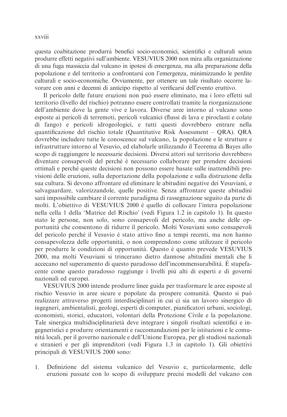questa coabitazione produrra` benefici socio-economici, scientifici e culturali senza produrre effetti negativi sull'ambiente. VESUVIUS 2000 non mira alla organizzazione di una fuga massiccia dal vulcano in ipotesi di emergenza, ma alla preparazione della popolazione e del territorio a confrontarsi con l'emergenza, minimizzando le perdite culturali e socio-economiche. Ovviamente, per ottenere un tale risultato occorre lavorare con anni e decenni di anticipo rispetto al verificarsi dell'evento eruttivo.

Il pericolo delle future eruzioni non puo` essere eliminato, ma i loro effetti sul territorio (livello del rischio) potranno essere controllati tramite la riorganizzazione dell'ambiente dove la gente vive e lavora. Diverse aree intorno al vulcano sono esposte ai pericoli di terremoti, pericoli vulcanici (flussi di lava e piroclasti e colate di fango) e pericoli idrogeologici, e tutti questi dovrebbero entrare nella quantificazione del rischio totale (Quantitative Risk Assessment – QRA). QRA dovrebbe includere tutte le conoscence sul vulcano, la popolazione e le strutture e infrastrutture intorno al Vesuvio, ed elabolarle utilizzando il Teorema di Bayes allo scopo di raggiungere le necessarie decisioni. Diversi attori sul territorio dovrebbero diventare consapevoli del perche` e` necessario collaborare per prendere decisioni ottimali e perche` queste decisioni non possono essere basate sulle inattendibili previsioni delle eruzioni, sulla deportazione della popolazione e sulla distruzione della sua cultura. Si devono affrontare ed eliminare le abitudini negative dei Vesuviani, e salvaguardare, valorizzandole, quelle positive. Senza affrontare queste abitudini sara` impossibile cambiare il corrente paradigma di rassegnazione seguito da parte di molti. L'obiettivo di VESUVIUS 2000 e` quello di collocare l'intera popolazione nella cella 1 della 'Matrice del Rischio' (vedi Figura 1.2 in capitolo 1). In questo stato le persone, non solo, sono consapevoli del pericolo, ma anche delle opportunita` che consentono di ridurre il pericolo. Molti Vesuviani sono consapevoli del pericolo perche` il Vesuvio e` stato attivo fino a tempi recenti, ma non hanno consapevolezza delle opportunita`, o non comprendono come utilizzare il pericolo per produrre le condizioni di opportunità. Questo è quanto prevede VESUVIUS 2000, ma molti Vesuviani si trincerano dietro dannose abitudini mentali che li accecano nel superamento di questo paradosso dell'incommensurabilità. È stupefacente come questo paradosso raggiunge i livelli piu` alti di esperti e di governi nazionali ed europei.

VESUVIUS 2000 intende produrre linee guida per trasformare le aree esposte al rischio Vesuvio in aree sicure e popolate da prospere comunità. Questo si può realizzare attraverso progetti interdisciplinari in cui ci sia un lavoro sinergico di ingegneri, ambientalisti, geologi, esperti di computer, pianificatori urbani, sociologi, economisti, storici, educatori, volontari della Protezione Civile e la popolazione. Tale sinergica multidisciplinarieta` deve integrare i singoli risultati scientifici e ingegneristici e produrre orientamenti e raccomandazioni per le istituzioni e le comunita` locali, per il governo nazionale e dell'Unione Europea, per gli studiosi nazionali e stranieri e per gli imprenditori (vedi Figura 1.3 in capitolo 1). Gli obiettivi principali di VESUVIUS 2000 sono:

1. Definizione del sistema vulcanico del Vesuvio e, particolarmente, delle eruzioni passate con lo scopo di sviluppare precisi modelli del vulcano con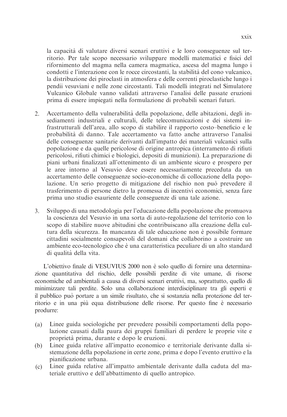la capacita` di valutare diversi scenari eruttivi e le loro conseguenze sul territorio. Per tale scopo necessario sviluppare modelli matematici e fisici del rifornimento del magma nella camera magmatica, ascesa del magma lungo i condotti e l'interazione con le rocce circostanti, la stabilita` del cono vulcanico, la distribuzione dei piroclasti in atmosfera e delle correnti piroclastiche lungo i pendii vesuviani e nelle zone circostanti. Tali modelli integrati nel Simulatore Vulcanico Globale vanno validati attraverso l'analisi delle passate eruzioni prima di essere impiegati nella formulazione di probabili scenari futuri.

- 2. Accertamento della vulnerabilita` della popolazione, delle abitazioni, degli insediamenti industriali e culturali, delle telecomunicazioni e dei sistemi infrastrutturali dell'area, allo scopo di stabilire il rapporto costo–beneficio e le probabilita` di danno. Tale accertamento va fatto anche attraverso l'analisi delle conseguenze sanitarie derivanti dall'impatto dei materiali vulcanici sulla popolazione e da quelle pericolose di origine antropica (interramento di rifiuti pericolosi, rifiuti chimici e biologici, depositi di munizioni). La preparazione di piani urbani finalizzati all'ottenimento di un ambiente sicuro e prospero per le aree intorno al Vesuvio deve essere necessariamente preceduta da un accertamento delle conseguenze socio-economiche di collocazione della popolazione. Un serio progetto di mitigazione del rischio non puo` prevedere il trasferimento di persone dietro la promessa di incentivi economici, senza fare prima uno studio esauriente delle conseguenze di una tale azione.
- 3. Sviluppo di una metodologia per l'educazione della popolazione che promuova la coscienza del Vesuvio in una sorta di auto-regolazione del territorio con lo scopo di stabilire nuove abitudini che contribuiscano alla creazione della cultura della sicurezza. In mancanza di tale educazione non è possibile formare cittadini socialmente consapevoli del domani che collaborino a costruire un ambiente eco-tecnologico che è una caratteristica peculiare di un alto standard di qualita` della vita.

L'obiettivo finale di VESUVIUS 2000 non è solo quello di fornire una determinazione quantitativa del rischio, delle possibili perdite di vite umane, di risorse economiche ed ambientali a causa di diversi scenari eruttivi, ma, soprattutto, quello di minimizzare tali perdite. Solo una collaborazione interdisciplinare tra gli esperti e il pubblico puo` portare a un simile risultato, che si sostanzia nella protezione del territorio e in una più equa distribuzione delle risorse. Per questo fine è necessario produrre:

- (a) Linee guida sociologiche per prevedere possibili comportamenti della popolazione causati dalla paura dei gruppi familiari di perdere le proprie vite e proprieta` prima, durante e dopo le eruzioni.
- (b) Linee guida relative all'impatto economico e territoriale derivante dalla sistemazione della popolazione in certe zone, prima e dopo l'evento eruttivo e la pianificazione urbana.
- (c) Linee guida relative all'impatto ambientale derivante dalla caduta del materiale eruttivo e dell'abbattimento di quello antropico.